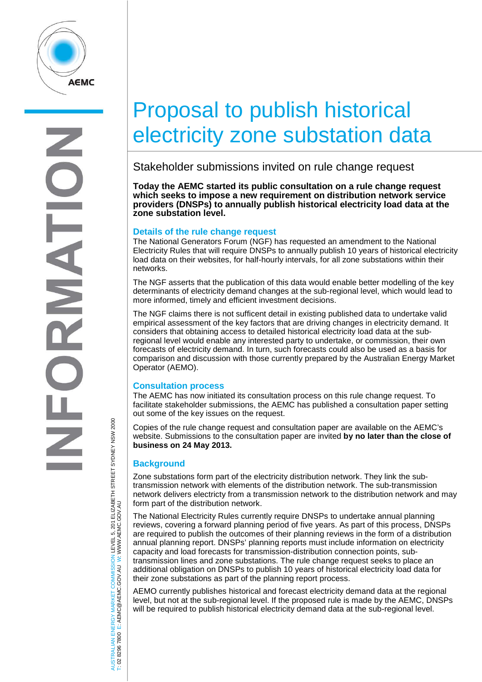

## Proposal to publish historical electricity zone substation data

Stakeholder submissions invited on rule change request

**Today the AEMC started its public consultation on a rule change request which seeks to impose a new requirement on distribution network service providers (DNSPs) to annually publish historical electricity load data at the zone substation level.**

## **Details of the rule change request**

The National Generators Forum (NGF) has requested an amendment to the National Electricity Rules that will require DNSPs to annually publish 10 years of historical electricity load data on their websites, for half-hourly intervals, for all zone substations within their networks.

The NGF asserts that the publication of this data would enable better modelling of the key determinants of electricity demand changes at the sub-regional level, which would lead to more informed, timely and efficient investment decisions.

The NGF claims there is not sufficent detail in existing published data to undertake valid empirical assessment of the key factors that are driving changes in electricity demand. It considers that obtaining access to detailed historical electricity load data at the subregional level would enable any interested party to undertake, or commission, their own forecasts of electricity demand. In turn, such forecasts could also be used as a basis for comparison and discussion with those currently prepared by the Australian Energy Market Operator (AEMO).

## **Consultation process**

The AEMC has now initiated its consultation process on this rule change request. To facilitate stakeholder submissions, the AEMC has published a consultation paper setting out some of the key issues on the request.

Copies of the rule change request and consultation paper are available on the AEMC's website. Submissions to the consultation paper are invited **by no later than the close of business on 24 May 2013.**

## **Background**

Zone substations form part of the electricity distribution network. They link the subtransmission network with elements of the distribution network. The sub-transmission network delivers electricty from a transmission network to the distribution network and may form part of the distribution network.

The National Electricity Rules currently require DNSPs to undertake annual planning reviews, covering a forward planning period of five years. As part of this process, DNSPs are required to publish the outcomes of their planning reviews in the form of a distribution annual planning report. DNSPs' planning reports must include information on electricity capacity and load forecasts for transmission-distribution connection points, subtransmission lines and zone substations. The rule change request seeks to place an additional obligation on DNSPs to publish 10 years of historical electricity load data for their zone substations as part of the planning report process.

AEMO currently publishes historical and forecast electricity demand data at the regional level, but not at the sub-regional level. If the proposed rule is made by the AEMC, DNSPs will be required to publish historical electricity demand data at the sub-regional level.

'RALIAN ENERGY MARKET COMMISSION LEVEL 5, 201 ELIZABETH STREET SYDNEY NSW 2000<br>8296 7800 E: AEMC@AEMC.GOV.AU W: WWW.AEMC.GOV.AU AUSTRALIAN ENERGY MARKET COMMISSION LEVEL 5, 201 ELIZABETH STREET SYDNEY NSW 2000 W: WWW.AEMC.GOV.AU T: 02 8296 7800 E: AEMC@AEMC.GOV.AU

<u>isi</u> i si